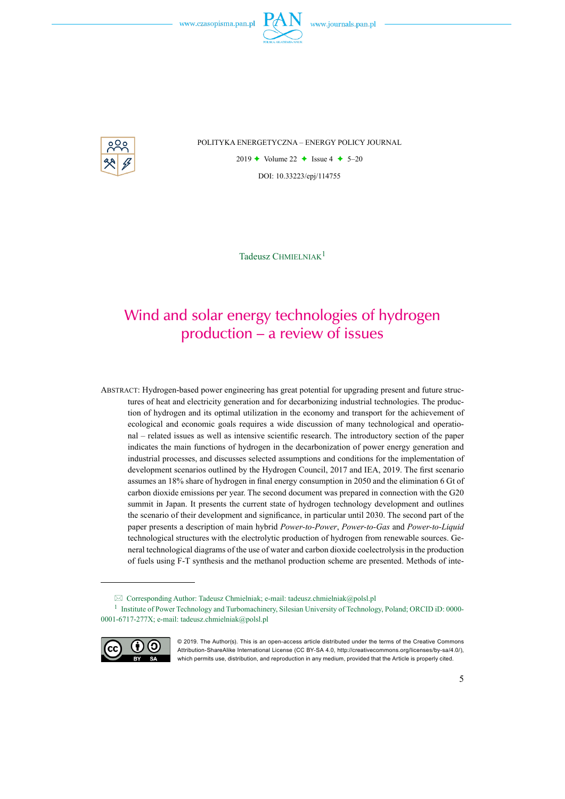

POLITYKA ENERGETYCZNA – ENERGY POLICY JOURNAL

2019  $\leftrightarrow$  Volume 22  $\leftrightarrow$  Issue 4  $\leftrightarrow$  5–20 DOI: 10.33223/epj/114755

Tadeusz CHMIELNIAK<sup>1</sup>

# Wind and solar energy technologies of hydrogen production – a review of issues

Abstract: Hydrogen-based power engineering has great potential for upgrading present and future structures of heat and electricity generation and for decarbonizing industrial technologies. The production of hydrogen and its optimal utilization in the economy and transport for the achievement of ecological and economic goals requires a wide discussion of many technological and operational – related issues as well as intensive scientific research. The introductory section of the paper indicates the main functions of hydrogen in the decarbonization of power energy generation and industrial processes, and discusses selected assumptions and conditions for the implementation of development scenarios outlined by the Hydrogen Council, 2017 and IEA, 2019. The first scenario assumes an 18% share of hydrogen in final energy consumption in 2050 and the elimination 6 Gt of carbon dioxide emissions per year. The second document was prepared in connection with the G20 summit in Japan. It presents the current state of hydrogen technology development and outlines the scenario of their development and significance, in particular until 2030. The second part of the paper presents a description of main hybrid *Power-to-Power*, *Power-to-Gas* and *Power-to-Liquid*  technological structures with the electrolytic production of hydrogen from renewable sources. General technological diagrams of the use of water and carbon dioxide coelectrolysis in the production of fuels using F-T synthesis and the methanol production scheme are presented. Methods of inte-

<sup>1</sup> Institute of Power Technology and Turbomachinery, Silesian University of Technology, Poland; ORCID iD: 0000- 0001-6717-277X; e-mail: tadeusz.chmielniak@polsl.pl



<sup>© 2019.</sup> The Author(s). This is an open-access article distributed under the terms of the Creative Commons Attribution-ShareAlike International License (CC BY-SA 4.0, http://creativecommons.org/licenses/by-sa/4.0/), which permits use, distribution, and reproduction in any medium, provided that the Article is properly cited.

 $\boxtimes$  Corresponding Author: Tadeusz Chmielniak; e-mail: tadeusz.chmielniak@polsl.pl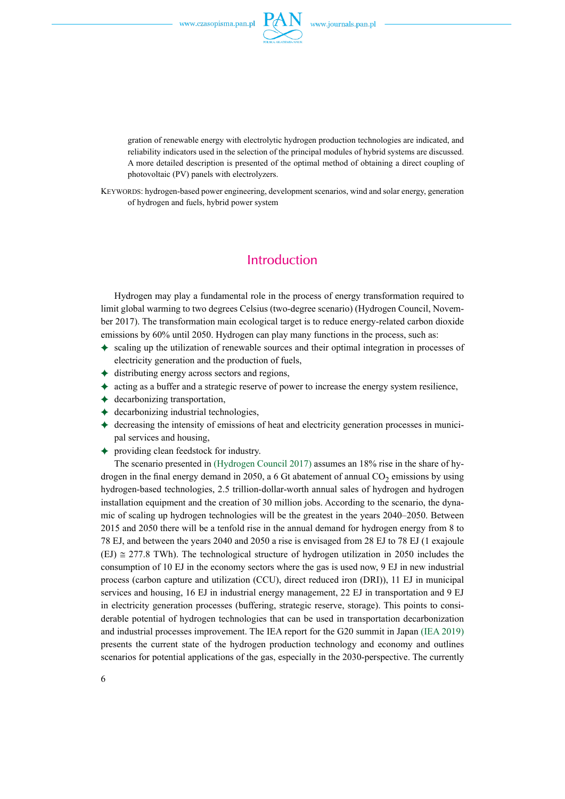

gration of renewable energy with electrolytic hydrogen production technologies are indicated, and reliability indicators used in the selection of the principal modules of hybrid systems are discussed. A more detailed description is presented of the optimal method of obtaining a direct coupling of photovoltaic (PV) panels with electrolyzers.

Keywords: hydrogen-based power engineering, development scenarios, wind and solar energy, generation of hydrogen and fuels, hybrid power system

### **Introduction**

Hydrogen may play a fundamental role in the process of energy transformation required to limit global warming to two degrees Celsius (two-degree scenario) (Hydrogen Council, November 2017). The transformation main ecological target is to reduce energy-related carbon dioxide emissions by 60% until 2050. Hydrogen can play many functions in the process, such as:

- $\triangleq$  scaling up the utilization of renewable sources and their optimal integration in processes of electricity generation and the production of fuels,
- $\triangleleft$  distributing energy across sectors and regions,
- $\triangleq$  acting as a buffer and a strategic reserve of power to increase the energy system resilience,
- $\leftrightarrow$  decarbonizing transportation,
- $\leftrightarrow$  decarbonizing industrial technologies,
- $\triangleq$  decreasing the intensity of emissions of heat and electricity generation processes in municipal services and housing,
- ) providing clean feedstock for industry.

The scenario presented in (Hydrogen Council 2017) assumes an 18% rise in the share of hydrogen in the final energy demand in 2050, a 6 Gt abatement of annual  $CO<sub>2</sub>$  emissions by using hydrogen-based technologies, 2.5 trillion-dollar-worth annual sales of hydrogen and hydrogen installation equipment and the creation of 30 million jobs. According to the scenario, the dynamic of scaling up hydrogen technologies will be the greatest in the years 2040–2050. Between 2015 and 2050 there will be a tenfold rise in the annual demand for hydrogen energy from 8 to 78 EJ, and between the years 2040 and 2050 a rise is envisaged from 28 EJ to 78 EJ (1 exajoule  $(EJ) \approx 277.8$  TWh). The technological structure of hydrogen utilization in 2050 includes the consumption of 10 EJ in the economy sectors where the gas is used now, 9 EJ in new industrial process (carbon capture and utilization (CCU), direct reduced iron (DRI)), 11 EJ in municipal services and housing, 16 EJ in industrial energy management, 22 EJ in transportation and 9 EJ in electricity generation processes (buffering, strategic reserve, storage). This points to considerable potential of hydrogen technologies that can be used in transportation decarbonization and industrial processes improvement. The IEA report for the G20 summit in Japan (IEA 2019) presents the current state of the hydrogen production technology and economy and outlines scenarios for potential applications of the gas, especially in the 2030-perspective. The currently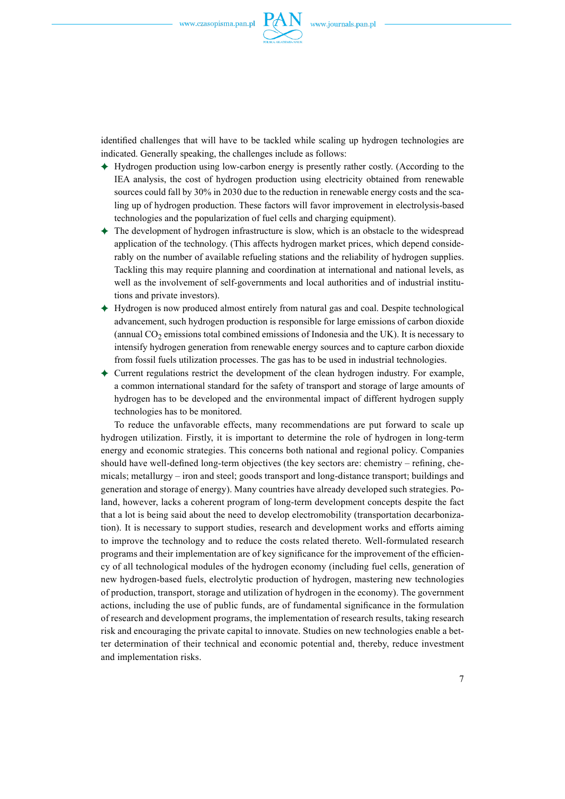

identified challenges that will have to be tackled while scaling up hydrogen technologies are indicated. Generally speaking, the challenges include as follows:

- $\triangle$  Hydrogen production using low-carbon energy is presently rather costly. (According to the IEA analysis, the cost of hydrogen production using electricity obtained from renewable sources could fall by 30% in 2030 due to the reduction in renewable energy costs and the scaling up of hydrogen production. These factors will favor improvement in electrolysis-based technologies and the popularization of fuel cells and charging equipment).
- ) The development of hydrogen infrastructure is slow, which is an obstacle to the widespread application of the technology. (This affects hydrogen market prices, which depend considerably on the number of available refueling stations and the reliability of hydrogen supplies. Tackling this may require planning and coordination at international and national levels, as well as the involvement of self-governments and local authorities and of industrial institutions and private investors).
- $\rightarrow$  Hydrogen is now produced almost entirely from natural gas and coal. Despite technological advancement, such hydrogen production is responsible for large emissions of carbon dioxide (annual  $CO<sub>2</sub>$  emissions total combined emissions of Indonesia and the UK). It is necessary to intensify hydrogen generation from renewable energy sources and to capture carbon dioxide from fossil fuels utilization processes. The gas has to be used in industrial technologies.
- $\triangle$  Current regulations restrict the development of the clean hydrogen industry. For example, a common international standard for the safety of transport and storage of large amounts of hydrogen has to be developed and the environmental impact of different hydrogen supply technologies has to be monitored.

To reduce the unfavorable effects, many recommendations are put forward to scale up hydrogen utilization. Firstly, it is important to determine the role of hydrogen in long-term energy and economic strategies. This concerns both national and regional policy. Companies should have well-defined long-term objectives (the key sectors are: chemistry – refining, chemicals; metallurgy – iron and steel; goods transport and long-distance transport; buildings and generation and storage of energy). Many countries have already developed such strategies. Poland, however, lacks a coherent program of long-term development concepts despite the fact that a lot is being said about the need to develop electromobility (transportation decarbonization). It is necessary to support studies, research and development works and efforts aiming to improve the technology and to reduce the costs related thereto. Well-formulated research programs and their implementation are of key significance for the improvement of the efficiency of all technological modules of the hydrogen economy (including fuel cells, generation of new hydrogen-based fuels, electrolytic production of hydrogen, mastering new technologies of production, transport, storage and utilization of hydrogen in the economy). The government actions, including the use of public funds, are of fundamental significance in the formulation of research and development programs, the implementation of research results, taking research risk and encouraging the private capital to innovate. Studies on new technologies enable a better determination of their technical and economic potential and, thereby, reduce investment and implementation risks.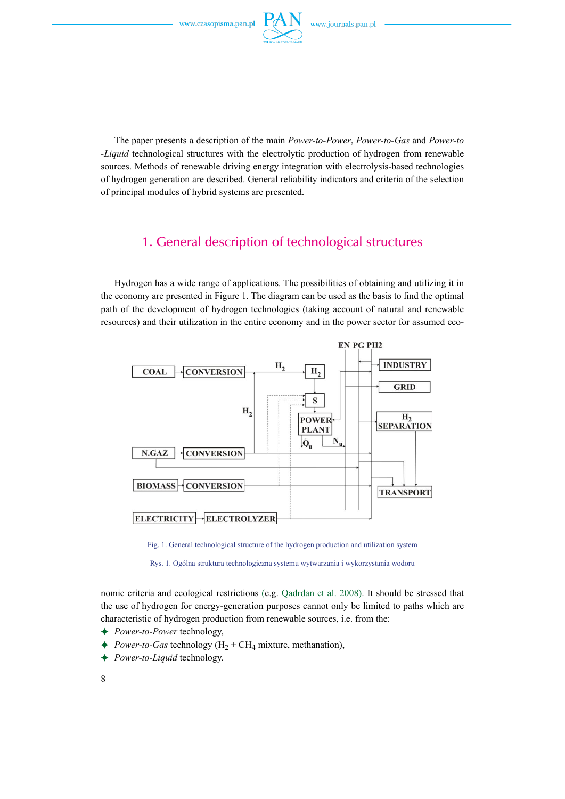

The paper presents a description of the main *Power-to-Power*, *Power-to-Gas* and *Power-to -Liquid* technological structures with the electrolytic production of hydrogen from renewable sources. Methods of renewable driving energy integration with electrolysis-based technologies of hydrogen generation are described. General reliability indicators and criteria of the selection of principal modules of hybrid systems are presented.

## 1. General description of technological structures

Hydrogen has a wide range of applications. The possibilities of obtaining and utilizing it in the economy are presented in Figure 1. The diagram can be used as the basis to find the optimal path of the development of hydrogen technologies (taking account of natural and renewable resources) and their utilization in the entire economy and in the power sector for assumed eco-



Fig. 1. General technological structure of the hydrogen production and utilization system

Rys. 1. Ogólna struktura technologiczna systemu wytwarzania i wykorzystania wodoru

nomic criteria and ecological restrictions (e.g. Qadrdan et al. 2008). It should be stressed that the use of hydrogen for energy-generation purposes cannot only be limited to paths which are characteristic of hydrogen production from renewable sources, i.e. from the:

- ) *Power-to-Power* technology,
- $\rightarrow$  *Power-to-Gas* technology (H<sub>2</sub> + CH<sub>4</sub> mixture, methanation),
- ) *Power-to-Liquid* technology.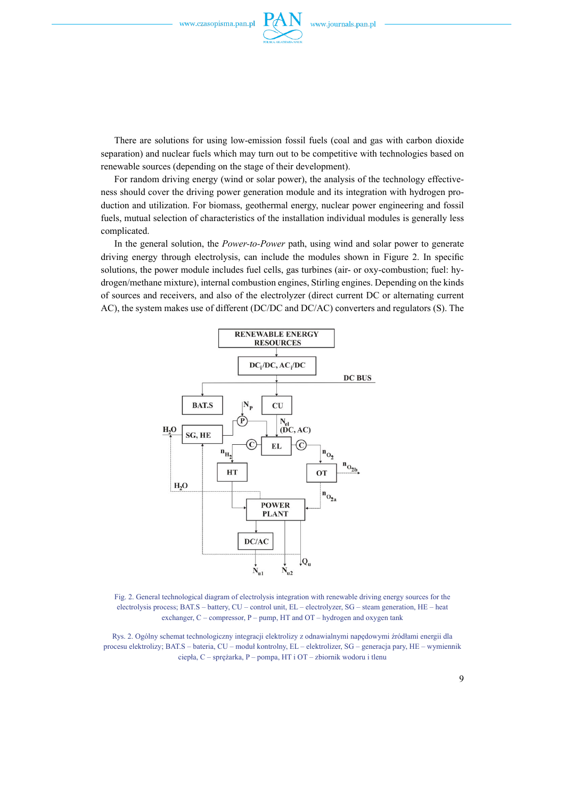

There are solutions for using low-emission fossil fuels (coal and gas with carbon dioxide separation) and nuclear fuels which may turn out to be competitive with technologies based on renewable sources (depending on the stage of their development).

For random driving energy (wind or solar power), the analysis of the technology effectiveness should cover the driving power generation module and its integration with hydrogen production and utilization. For biomass, geothermal energy, nuclear power engineering and fossil fuels, mutual selection of characteristics of the installation individual modules is generally less complicated.

In the general solution, the *Power-to-Power* path, using wind and solar power to generate driving energy through electrolysis, can include the modules shown in Figure 2. In specific solutions, the power module includes fuel cells, gas turbines (air- or oxy-combustion; fuel: hydrogen/methane mixture), internal combustion engines, Stirling engines. Depending on the kinds of sources and receivers, and also of the electrolyzer (direct current DC or alternating current AC), the system makes use of different (DC/DC and DC/AC) converters and regulators (S). The



Fig. 2. General technological diagram of electrolysis integration with renewable driving energy sources for the electrolysis process; BAT.S – battery, CU – control unit, EL – electrolyzer, SG – steam generation, HE – heat exchanger, C – compressor, P – pump, HT and OT – hydrogen and oxygen tank

Rys. 2. Ogólny schemat technologiczny integracji elektrolizy z odnawialnymi napędowymi źródłami energii dla procesu elektrolizy; BAT.S – bateria, CU – moduł kontrolny, EL – elektrolizer, SG – generacja pary, HE – wymiennik ciepła, C – sprężarka, P – pompa, HT i OT – zbiornik wodoru i tlenu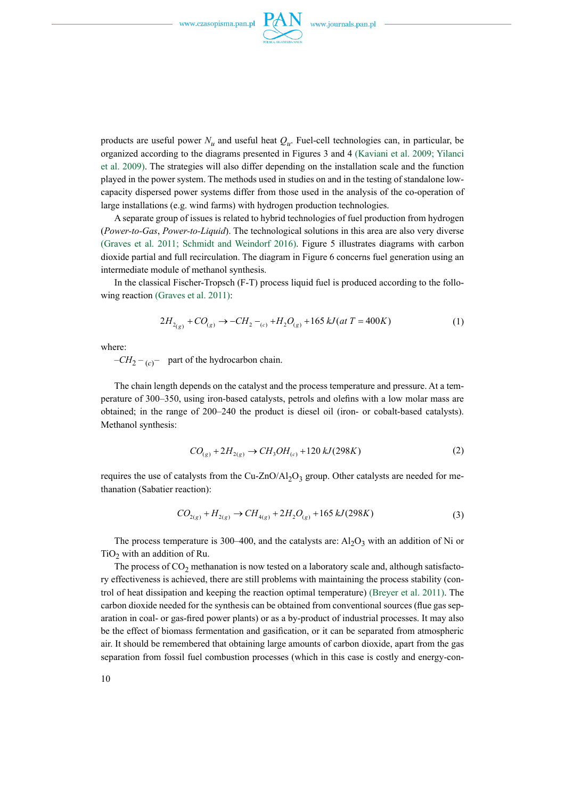

products are useful power  $N_u$  and useful heat  $Q_u$ . Fuel-cell technologies can, in particular, be organized according to the diagrams presented in Figures 3 and 4 (Kaviani et al. 2009; Yilanci et al. 2009). The strategies will also differ depending on the installation scale and the function played in the power system. The methods used in studies on and in the testing of standalone lowcapacity dispersed power systems differ from those used in the analysis of the co-operation of large installations (e.g. wind farms) with hydrogen production technologies.

A separate group of issues is related to hybrid technologies of fuel production from hydrogen (*Power-to-Gas*, *Power-to-Liquid*). The technological solutions in this area are also very diverse (Graves et al. 2011; Schmidt and Weindorf 2016). Figure 5 illustrates diagrams with carbon dioxide partial and full recirculation. The diagram in Figure 6 concerns fuel generation using an intermediate module of methanol synthesis.

In the classical Fischer-Tropsch (F-T) process liquid fuel is produced according to the following reaction (Graves et al. 2011):

$$
2H_{2(g)} + CO_{(g)} \rightarrow -CH_2 - {}_{(c)} + H_2O_{(g)} + 165 kJ(at \ T = 400K)
$$
 (1)

where:

 $-CH_2 - {}_{(c)}$  – part of the hydrocarbon chain.

The chain length depends on the catalyst and the process temperature and pressure. At a temperature of 300–350, using iron-based catalysts, petrols and olefins with a low molar mass are obtained; in the range of 200–240 the product is diesel oil (iron- or cobalt-based catalysts). Methanol synthesis:

$$
CO_{(g)} + 2H_{2(g)} \to CH_3OH_{(c)} + 120 kJ(298K)
$$
 (2)

requires the use of catalysts from the Cu-ZnO/Al<sub>2</sub>O<sub>3</sub> group. Other catalysts are needed for methanation (Sabatier reaction):

$$
CO_{2(g)} + H_{2(g)} \to CH_{4(g)} + 2H_2O_{(g)} + 165 kJ(298K)
$$
\n(3)

The process temperature is 300–400, and the catalysts are:  $Al_2O_3$  with an addition of Ni or TiO<sub>2</sub> with an addition of Ru.

The process of  $CO<sub>2</sub>$  methanation is now tested on a laboratory scale and, although satisfactory effectiveness is achieved, there are still problems with maintaining the process stability (control of heat dissipation and keeping the reaction optimal temperature) (Breyer et al. 2011). The carbon dioxide needed for the synthesis can be obtained from conventional sources (flue gas separation in coal- or gas-fired power plants) or as a by-product of industrial processes. It may also be the effect of biomass fermentation and gasification, or it can be separated from atmospheric air. It should be remembered that obtaining large amounts of carbon dioxide, apart from the gas separation from fossil fuel combustion processes (which in this case is costly and energy-con-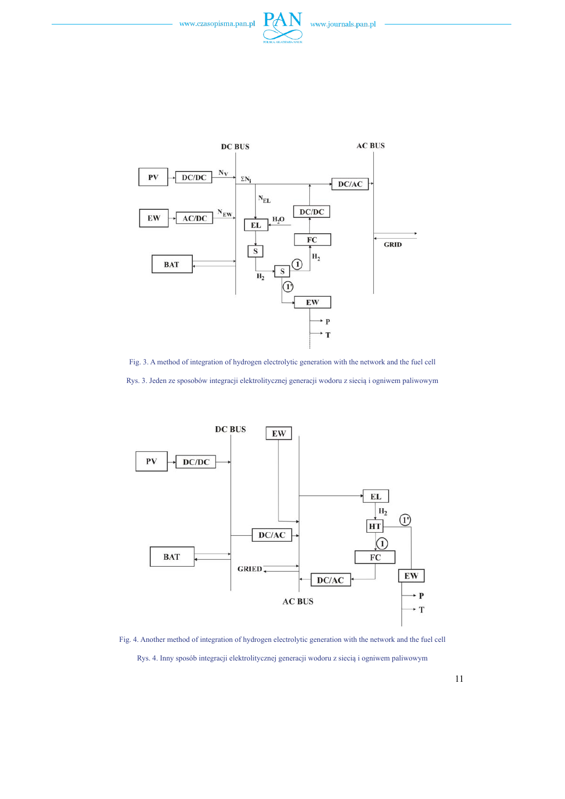



Fig. 3. A method of integration of hydrogen electrolytic generation with the network and the fuel cell Rys. 3. Jeden ze sposobów integracji elektrolitycznej generacji wodoru z siecią i ogniwem paliwowym



Fig. 4. Another method of integration of hydrogen electrolytic generation with the network and the fuel cell Rys. 4. Inny sposób integracji elektrolitycznej generacji wodoru z siecią i ogniwem paliwowym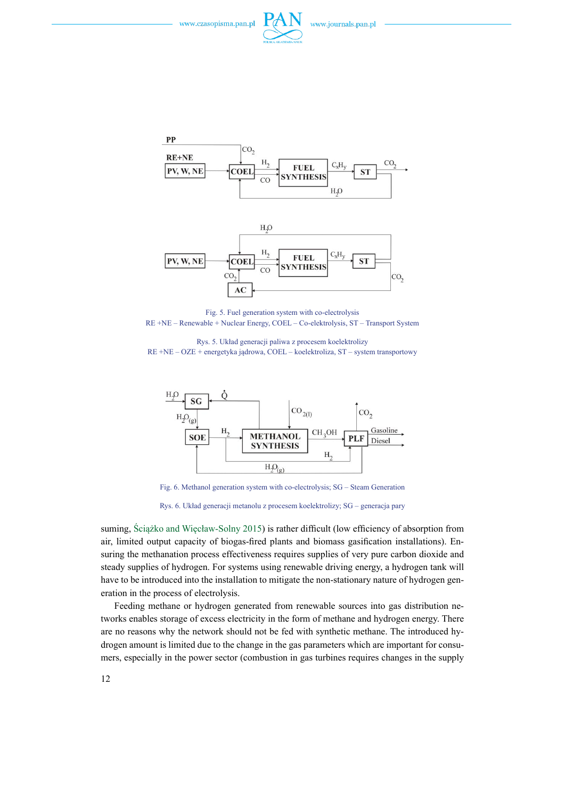





Fig. 5. Fuel generation system with co-electrolysis RE +NE – Renewable + Nuclear Energy, COEL – Co-elektrolysis, ST – Transport System

Rys. 5. Układ generacji paliwa z procesem koelektrolizy RE +NE – OZE + energetyka jądrowa, COEL – koelektroliza, ST – system transportowy



Fig. 6. Methanol generation system with co-electrolysis; SG – Steam Generation

Rys. 6. Układ generacji metanolu z procesem koelektrolizy; SG – generacja pary

suming, Ściążko and Więcław-Solny 2015) is rather difficult (low efficiency of absorption from air, limited output capacity of biogas-fired plants and biomass gasification installations). Ensuring the methanation process effectiveness requires supplies of very pure carbon dioxide and steady supplies of hydrogen. For systems using renewable driving energy, a hydrogen tank will have to be introduced into the installation to mitigate the non-stationary nature of hydrogen generation in the process of electrolysis.

Feeding methane or hydrogen generated from renewable sources into gas distribution networks enables storage of excess electricity in the form of methane and hydrogen energy. There are no reasons why the network should not be fed with synthetic methane. The introduced hydrogen amount is limited due to the change in the gas parameters which are important for consumers, especially in the power sector (combustion in gas turbines requires changes in the supply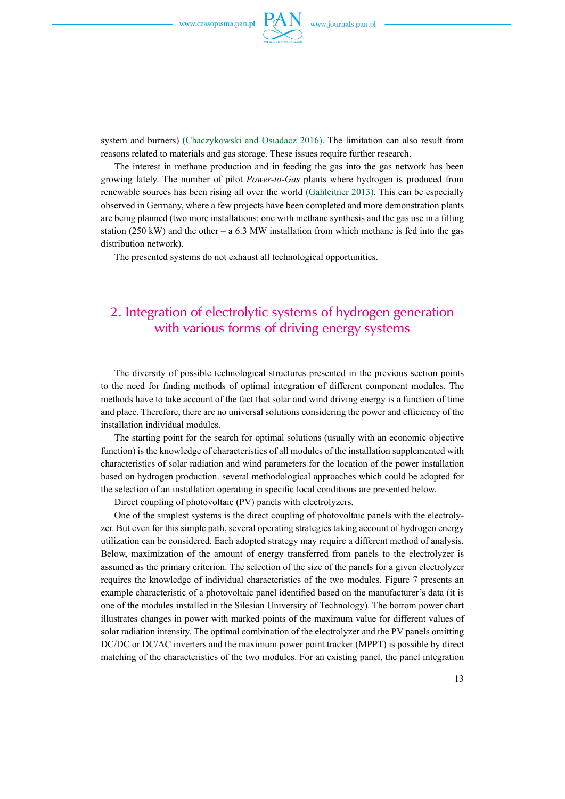

system and burners) (Chaczykowski and Osiadacz 2016). The limitation can also result from reasons related to materials and gas storage. These issues require further research.

The interest in methane production and in feeding the gas into the gas network has been growing lately. The number of pilot *Power-to-Gas* plants where hydrogen is produced from renewable sources has been rising all over the world (Gahleitner 2013). This can be especially observed in Germany, where a few projects have been completed and more demonstration plants are being planned (two more installations: one with methane synthesis and the gas use in a filling station (250 kW) and the other – a 6.3 MW installation from which methane is fed into the gas distribution network).

The presented systems do not exhaust all technological opportunities.

# 2. Integration of electrolytic systems of hydrogen generation with various forms of driving energy systems

The diversity of possible technological structures presented in the previous section points to the need for finding methods of optimal integration of different component modules. The methods have to take account of the fact that solar and wind driving energy is a function of time and place. Therefore, there are no universal solutions considering the power and efficiency of the installation individual modules.

The starting point for the search for optimal solutions (usually with an economic objective function) is the knowledge of characteristics of all modules of the installation supplemented with characteristics of solar radiation and wind parameters for the location of the power installation based on hydrogen production. several methodological approaches which could be adopted for the selection of an installation operating in specific local conditions are presented below.

Direct coupling of photovoltaic (PV) panels with electrolyzers.

One of the simplest systems is the direct coupling of photovoltaic panels with the electrolyzer. But even for this simple path, several operating strategies taking account of hydrogen energy utilization can be considered. Each adopted strategy may require a different method of analysis. Below, maximization of the amount of energy transferred from panels to the electrolyzer is assumed as the primary criterion. The selection of the size of the panels for a given electrolyzer requires the knowledge of individual characteristics of the two modules. Figure 7 presents an example characteristic of a photovoltaic panel identified based on the manufacturer's data (it is one of the modules installed in the Silesian University of Technology). The bottom power chart illustrates changes in power with marked points of the maximum value for different values of solar radiation intensity. The optimal combination of the electrolyzer and the PV panels omitting DC/DC or DC/AC inverters and the maximum power point tracker (MPPT) is possible by direct matching of the characteristics of the two modules. For an existing panel, the panel integration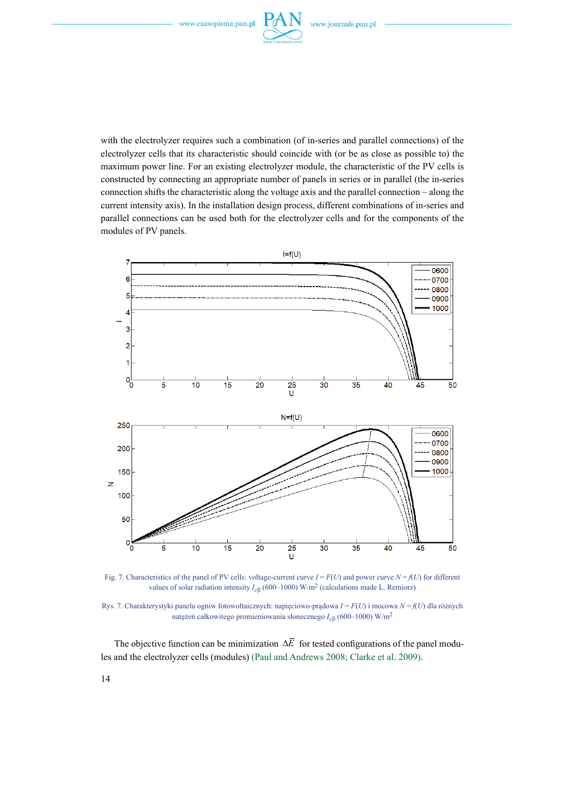

with the electrolyzer requires such a combination (of in-series and parallel connections) of the electrolyzer cells that its characteristic should coincide with (or be as close as possible to) the maximum power line. For an existing electrolyzer module, the characteristic of the PV cells is constructed by connecting an appropriate number of panels in series or in parallel (the in-series connection shifts the characteristic along the voltage axis and the parallel connection – along the current intensity axis). In the installation design process, different combinations of in-series and parallel connections can be used both for the electrolyzer cells and for the components of the modules of PV panels.



Fig. 7. Characteristics of the panel of PV cells: voltage-current curve  $I = F(U)$  and power curve  $N = f(U)$  for different values of solar radiation intensity *Ic*β (600–1000) W/m2 (calculations made L. Remiorz)

Rys. 7. Charakterystyki panelu ogniw fotowoltaicznych: napięciowo-prądowa *I* = *F*(*U*) i mocowa *N* = *f*(*U*) dla różnych natężeń całkowitego promieniowania słonecznego *Ic*β (600–1000) W/m2

The objective function can be minimization ∆*E* for tested configurations of the panel modules and the electrolyzer cells (modules) (Paul and Andrews 2008; Clarke et al. 2009).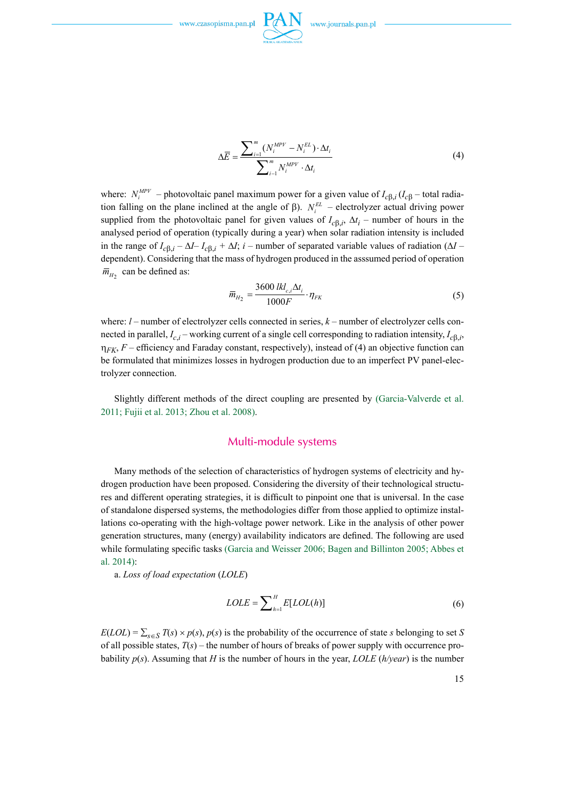

$$
\Delta \overline{E} = \frac{\sum_{i=1}^{m} (N_i^{MPV} - N_i^{EL}) \cdot \Delta t_i}{\sum_{i=1}^{m} N_i^{MPV} \cdot \Delta t_i}
$$
(4)

where:  $N_i^{MPV}$  – photovoltaic panel maximum power for a given value of  $I_{c\beta,i}$  ( $I_{c\beta}$  – total radiation falling on the plane inclined at the angle of  $\beta$ ).  $N_i^{EL}$  – electrolyzer actual driving power supplied from the photovoltaic panel for given values of  $I_{c\beta,i}$ ,  $\Delta t_i$  – number of hours in the analysed period of operation (typically during a year) when solar radiation intensity is included in the range of  $I_{c\beta,i} - \Delta I - I_{c\beta,i} + \Delta I$ ; *i* – number of separated variable values of radiation ( $\Delta I$  – dependent). Considering that the mass of hydrogen produced in the asssumed period of operation  $\overline{m}_{H_2}$  can be defined as:

$$
\overline{m}_{H_2} = \frac{3600 \, l k l_{c,i} \Delta t_i}{1000 F} \cdot \eta_{FK}
$$
\n(5)

where:  $l$  – number of electrolyzer cells connected in series,  $k$  – number of electrolyzer cells connected in parallel,  $I_{c,i}$  – working current of a single cell corresponding to radiation intensity,  $I_{c\beta,i}$ ,  $\eta_{FK}$ , *F* – efficiency and Faraday constant, respectively), instead of (4) an objective function can be formulated that minimizes losses in hydrogen production due to an imperfect PV panel-electrolyzer connection.

Slightly different methods of the direct coupling are presented by (Garcia-Valverde et al. 2011; Fujii et al. 2013; Zhou et al. 2008).

#### Multi-module systems

Many methods of the selection of characteristics of hydrogen systems of electricity and hydrogen production have been proposed. Considering the diversity of their technological structures and different operating strategies, it is difficult to pinpoint one that is universal. In the case of standalone dispersed systems, the methodologies differ from those applied to optimize installations co-operating with the high-voltage power network. Like in the analysis of other power generation structures, many (energy) availability indicators are defined. The following are used while formulating specific tasks (Garcia and Weisser 2006; Bagen and Billinton 2005; Abbes et al. 2014):

a. *Loss of load expectation* (*LOLE*)

$$
LOLE = \sum_{h=1}^{H} E[LOL(h)] \tag{6}
$$

 $E(LOL) = \sum_{s \in S} T(s) \times p(s)$ ,  $p(s)$  is the probability of the occurrence of state *s* belonging to set *S* of all possible states,  $T(s)$  – the number of hours of breaks of power supply with occurrence probability *p*(*s*). Assuming that *H* is the number of hours in the year, *LOLE* (*h/year*) is the number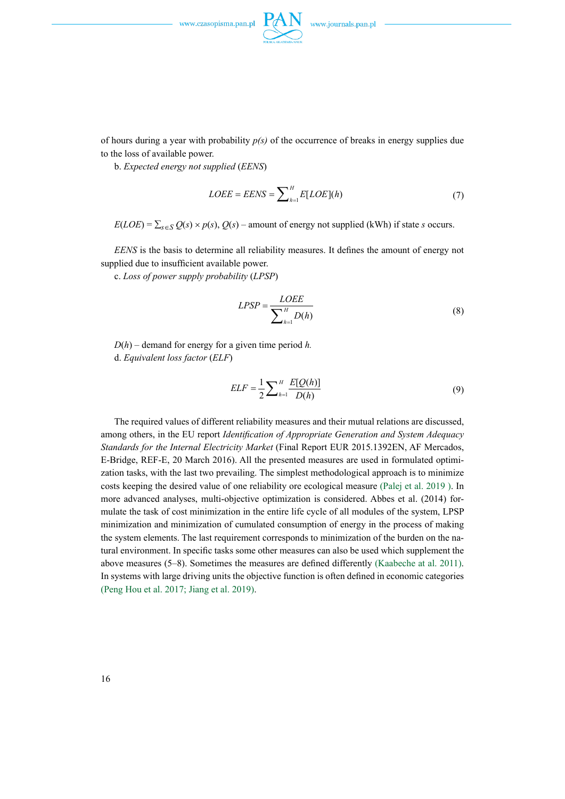

of hours during a year with probability  $p(s)$  of the occurrence of breaks in energy supplies due

b. *Expected energy not supplied* (*EENS*)

to the loss of available power.

$$
LOEE = EENS = \sum_{h=1}^{H} E[LOE](h)
$$
 (7)

 $E(LOE) = \sum_{s \in S} Q(s) \times p(s), Q(s)$  – amount of energy not supplied (kWh) if state *s* occurs.

*EENS* is the basis to determine all reliability measures. It defines the amount of energy not supplied due to insufficient available power.

c. *Loss of power supply probability* (*LPSP*)

$$
LPSP = \frac{LOEE}{\sum_{h=1}^{H} D(h)}
$$
(8)

 $D(h)$  – demand for energy for a given time period *h*. d. *Equivalent loss factor* (*ELF*)

$$
ELF = \frac{1}{2} \sum_{h=1}^{H} \frac{E[Q(h)]}{D(h)}
$$
(9)

The required values of different reliability measures and their mutual relations are discussed, among others, in the EU report *Identification of Appropriate Generation and System Adequacy Standards for the Internal Electricity Market* (Final Report EUR 2015.1392EN, AF Mercados, E-Bridge, REF-E, 20 March 2016). All the presented measures are used in formulated optimization tasks, with the last two prevailing. The simplest methodological approach is to minimize costs keeping the desired value of one reliability ore ecological measure (Palej et al. 2019 ). In more advanced analyses, multi-objective optimization is considered. Abbes et al. (2014) formulate the task of cost minimization in the entire life cycle of all modules of the system, LPSP minimization and minimization of cumulated consumption of energy in the process of making the system elements. The last requirement corresponds to minimization of the burden on the natural environment. In specific tasks some other measures can also be used which supplement the above measures (5–8). Sometimes the measures are defined differently (Kaabeche at al. 2011). In systems with large driving units the objective function is often defined in economic categories (Peng Hou et al. 2017; Jiang et al. 2019).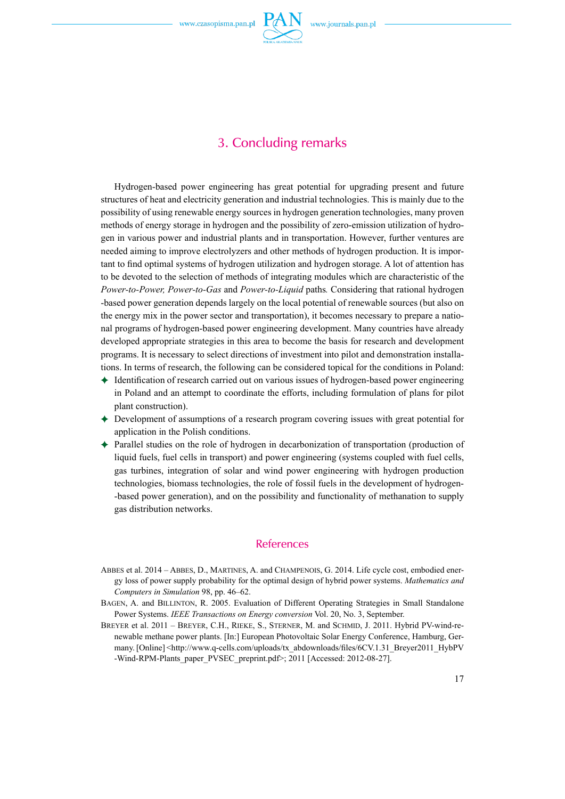

## 3. Concluding remarks

Hydrogen-based power engineering has great potential for upgrading present and future structures of heat and electricity generation and industrial technologies. This is mainly due to the possibility of using renewable energy sources in hydrogen generation technologies, many proven methods of energy storage in hydrogen and the possibility of zero-emission utilization of hydrogen in various power and industrial plants and in transportation. However, further ventures are needed aiming to improve electrolyzers and other methods of hydrogen production. It is important to find optimal systems of hydrogen utilization and hydrogen storage. A lot of attention has to be devoted to the selection of methods of integrating modules which are characteristic of the *Power-to-Power, Power-to-Gas* and *Power-to-Liquid* paths*.* Considering that rational hydrogen -based power generation depends largely on the local potential of renewable sources (but also on the energy mix in the power sector and transportation), it becomes necessary to prepare a national programs of hydrogen-based power engineering development. Many countries have already developed appropriate strategies in this area to become the basis for research and development programs. It is necessary to select directions of investment into pilot and demonstration installations. In terms of research, the following can be considered topical for the conditions in Poland:

- $\triangle$  Identification of research carried out on various issues of hydrogen-based power engineering in Poland and an attempt to coordinate the efforts, including formulation of plans for pilot plant construction).
- ) Development of assumptions of a research program covering issues with great potential for application in the Polish conditions.
- $\triangle$  Parallel studies on the role of hydrogen in decarbonization of transportation (production of liquid fuels, fuel cells in transport) and power engineering (systems coupled with fuel cells, gas turbines, integration of solar and wind power engineering with hydrogen production technologies, biomass technologies, the role of fossil fuels in the development of hydrogen- -based power generation), and on the possibility and functionality of methanation to supply gas distribution networks.

#### References

- Abbes et al. 2014 Abbes, D., Martines, A. and Champenois, G. 2014. Life cycle cost, embodied energy loss of power supply probability for the optimal design of hybrid power systems. *Mathematics and Computers in Simulation* 98, pp. 46–62.
- BAGEN, A. and BILLINTON, R. 2005. Evaluation of Different Operating Strategies in Small Standalone Power Systems. *IEEE Transactions on Energy conversion* Vol. 20, No. 3, September.
- BREYER et al. 2011 BREYER, C.H., RIEKE, S., STERNER, M. and SCHMID, J. 2011. Hybrid PV-wind-renewable methane power plants. [In:] European Photovoltaic Solar Energy Conference, Hamburg, Germany. [Online] <http://www.q-cells.com/uploads/tx\_abdownloads/files/6CV.1.31\_Breyer2011\_HybPV -Wind-RPM-Plants\_paper\_PVSEC\_preprint.pdf>; 2011 [Accessed: 2012-08-27].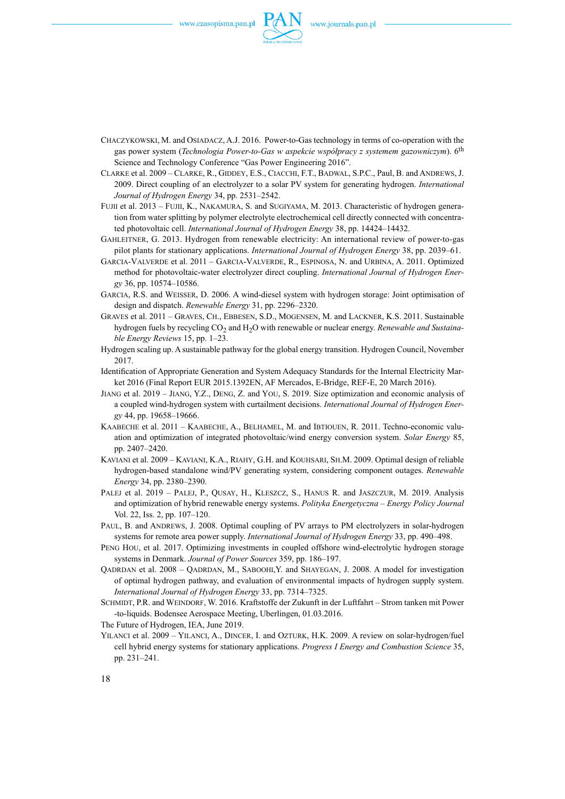

- Chaczykowski, M. and Osiadacz, A.J. 2016. Power-to-Gas technology in terms of co-operation with the gas power system (*Technologia Power-to-Gas w aspekcie współpracy z systemem gazowniczym*). 6th Science and Technology Conference "Gas Power Engineering 2016".
- Clarke et al. 2009 Clarke, R., Giddey, E.S., Ciacchi, F.T., Badwal, S.P.C., Paul, B. and Andrews, J. 2009. Direct coupling of an electrolyzer to a solar PV system for generating hydrogen. *International Journal of Hydrogen Energy* 34, pp. 2531–2542.
- Fujii et al. 2013 Fujii, K., Nakamura, S. and Sugiyama, M. 2013. Characteristic of hydrogen generation from water splitting by polymer electrolyte electrochemical cell directly connected with concentrated photovoltaic cell. *International Journal of Hydrogen Energy* 38, pp. 14424–14432.
- Gahleitner, G. 2013. Hydrogen from renewable electricity: An international review of power-to-gas pilot plants for stationary applications. *International Journal of Hydrogen Energy* 38, pp. 2039–61.
- Garcia-Valverde et al. 2011 Garcia-Valverde, R., Espinosa, N. and Urbina, A. 2011. Optimized method for photovoltaic-water electrolyzer direct coupling. *International Journal of Hydrogen Energy* 36, pp. 10574–10586.
- Garcia, R.S. and Weisser, D. 2006. A wind-diesel system with hydrogen storage: Joint optimisation of design and dispatch. *Renewable Energy* 31, pp. 2296–2320.
- Graves et al. 2011 Graves, Ch., Ebbesen, S.D., Mogensen, M. and Lackner, K.S. 2011. Sustainable hydrogen fuels by recycling CO2 and H2O with renewable or nuclear energy. *Renewable and Sustainable Energy Reviews* 15, pp. 1–23.
- Hydrogen scaling up. A sustainable pathway for the global energy transition. Hydrogen Council, November 2017.
- Identification of Appropriate Generation and System Adequacy Standards for the Internal Electricity Market 2016 (Final Report EUR 2015.1392EN, AF Mercados, E-Bridge, REF-E, 20 March 2016).
- Jiang et al. 2019 Jiang, Y.Z., Deng, Z. and You, S. 2019. Size optimization and economic analysis of a coupled wind-hydrogen system with curtailment decisions. *International Journal of Hydrogen Energy* 44, pp. 19658–19666.
- KAABECHE et al. 2011 KAABECHE, A., BELHAMEL, M. and IBTIOUEN, R. 2011. Techno-economic valuation and optimization of integrated photovoltaic/wind energy conversion system. *Solar Energy* 85, pp. 2407–2420.
- Kaviani et al. 2009 Kaviani, K.A., Riahy, G.H. and Kouhsari, Sh.M. 2009. Optimal design of reliable hydrogen-based standalone wind/PV generating system, considering component outages. *Renewable Energy* 34, pp. 2380–2390.
- Palej et al. 2019 Palej, P., Qusay, H., Kleszcz, S., Hanus R. and Jaszczur, M. 2019. Analysis and optimization of hybrid renewable energy systems. *Polityka Energetyczna – Energy Policy Journal*  Vol. 22, Iss. 2, pp. 107–120.
- PAUL, B. and ANDREWS, J. 2008. Optimal coupling of PV arrays to PM electrolyzers in solar-hydrogen systems for remote area power supply. *International Journal of Hydrogen Energy* 33, pp. 490–498.
- Peng Hou, et al. 2017. Optimizing investments in coupled offshore wind-electrolytic hydrogen storage systems in Denmark. *Journal of Power Sources* 359, pp. 186–197.
- QADRDAN et al.  $2008 \text{QADRDAN}$ , M., SABOOHI,Y. and SHAYEGAN, J. 2008. A model for investigation of optimal hydrogen pathway, and evaluation of environmental impacts of hydrogen supply system. *International Journal of Hydrogen Energy* 33, pp. 7314–7325.
- SCHMIDT, P.R. and WEINDORF, W. 2016. Kraftstoffe der Zukunft in der Luftfahrt Strom tanken mit Power -to-liquids. Bodensee Aerospace Meeting, Uberlingen, 01.03.2016.
- The Future of Hydrogen, IEA, June 2019.
- Yilanci et al. 2009 Yilanci, A., Dincer, I. and Ozturk, H.K. 2009. A review on solar-hydrogen/fuel cell hybrid energy systems for stationary applications. *Progress I Energy and Combustion Science* 35, pp. 231–241.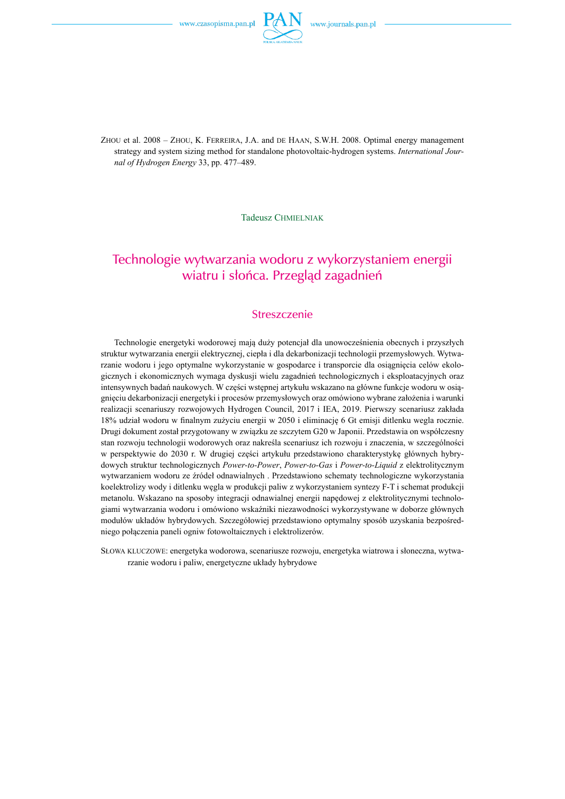

Zhou et al. 2008 – Zhou, K. Ferreira, J.A. and de Haan, S.W.H. 2008. Optimal energy management strategy and system sizing method for standalone photovoltaic-hydrogen systems. *International Journal of Hydrogen Energy* 33, pp. 477–489.

Tadeusz CHMIELNIAK

# Technologie wytwarzania wodoru z wykorzystaniem energii wiatru i słońca. Przegląd zagadnień

#### **Streszczenie**

Technologie energetyki wodorowej mają duży potencjał dla unowocześnienia obecnych i przyszłych struktur wytwarzania energii elektrycznej, ciepła i dla dekarbonizacji technologii przemysłowych. Wytwarzanie wodoru i jego optymalne wykorzystanie w gospodarce i transporcie dla osiągnięcia celów ekologicznych i ekonomicznych wymaga dyskusji wielu zagadnień technologicznych i eksploatacyjnych oraz intensywnych badań naukowych. W części wstępnej artykułu wskazano na główne funkcje wodoru w osiągnięciu dekarbonizacji energetyki i procesów przemysłowych oraz omówiono wybrane założenia i warunki realizacji scenariuszy rozwojowych Hydrogen Council, 2017 i IEA, 2019. Pierwszy scenariusz zakłada 18% udział wodoru w finalnym zużyciu energii w 2050 i eliminację 6 Gt emisji ditlenku wegla rocznie. Drugi dokument został przygotowany w związku ze szczytem G20 w Japonii. Przedstawia on współczesny stan rozwoju technologii wodorowych oraz nakreśla scenariusz ich rozwoju i znaczenia, w szczególności w perspektywie do 2030 r. W drugiej części artykułu przedstawiono charakterystykę głównych hybrydowych struktur technologicznych *Power-to-Power*, *Power-to-Gas* i *Power-to-Liquid* z elektrolitycznym wytwarzaniem wodoru ze źródeł odnawialnych . Przedstawiono schematy technologiczne wykorzystania koelektrolizy wody i ditlenku węgla w produkcji paliw z wykorzystaniem syntezy F-T i schemat produkcji metanolu. Wskazano na sposoby integracji odnawialnej energii napędowej z elektrolitycznymi technologiami wytwarzania wodoru i omówiono wskaźniki niezawodności wykorzystywane w doborze głównych modułów układów hybrydowych. Szczegółowiej przedstawiono optymalny sposób uzyskania bezpośredniego połączenia paneli ogniw fotowoltaicznych i elektrolizerów.

Słowa kluczowe: energetyka wodorowa, scenariusze rozwoju, energetyka wiatrowa i słoneczna, wytwarzanie wodoru i paliw, energetyczne układy hybrydowe